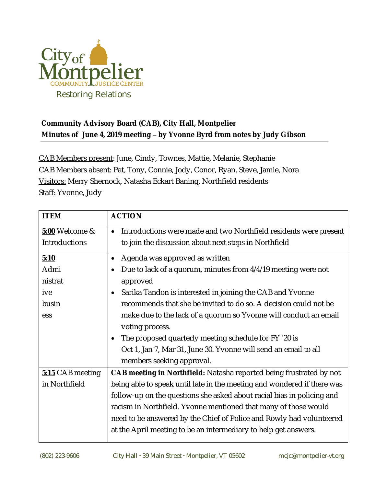

## **Community Advisory Board (CAB), City Hall, Montpelier Minutes of June 4, 2019 meeting – by Yvonne Byrd from notes by Judy Gibson**

CAB Members present: June, Cindy, Townes, Mattie, Melanie, Stephanie CAB Members absent: Pat, Tony, Connie, Jody, Conor, Ryan, Steve, Jamie, Nora Visitors: Merry Shernock, Natasha Eckart Baning, Northfield residents Staff: Yvonne, Judy

| <b>ITEM</b>      | <b>ACTION</b>                                                              |
|------------------|----------------------------------------------------------------------------|
| 5:00 Welcome &   | Introductions were made and two Northfield residents were present          |
| Introductions    | to join the discussion about next steps in Northfield                      |
| 5:10             | Agenda was approved as written                                             |
| Admi             | Due to lack of a quorum, minutes from 4/4/19 meeting were not              |
| nistrat          | approved                                                                   |
| ive              | Sarika Tandon is interested in joining the CAB and Yvonne<br>$\bullet$     |
| busin            | recommends that she be invited to do so. A decision could not be           |
| ess              | make due to the lack of a quorum so Yvonne will conduct an email           |
|                  | voting process.                                                            |
|                  | The proposed quarterly meeting schedule for FY '20 is                      |
|                  | Oct 1, Jan 7, Mar 31, June 30. Yvonne will send an email to all            |
|                  | members seeking approval.                                                  |
| 5:15 CAB meeting | <b>CAB meeting in Northfield:</b> Natasha reported being frustrated by not |
| in Northfield    | being able to speak until late in the meeting and wondered if there was    |
|                  | follow-up on the questions she asked about racial bias in policing and     |
|                  | racism in Northfield. Yvonne mentioned that many of those would            |
|                  | need to be answered by the Chief of Police and Rowly had volunteered       |
|                  | at the April meeting to be an intermediary to help get answers.            |
|                  |                                                                            |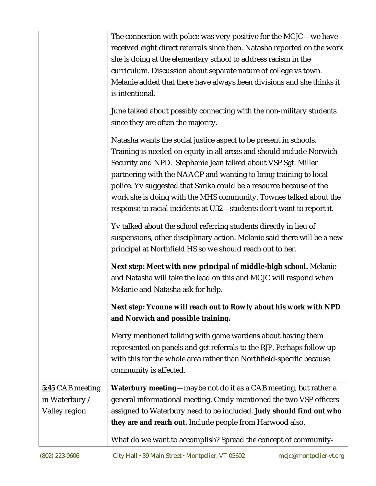|                                                     | The connection with police was very positive for the MCJC-we have<br>received eight direct referrals since then. Natasha reported on the work<br>she is doing at the elementary school to address racism in the<br>curriculum. Discussion about separate nature of college vs town.<br>Melanie added that there have always been divisions and she thinks it<br>is intentional.                                                                                                                     |
|-----------------------------------------------------|-----------------------------------------------------------------------------------------------------------------------------------------------------------------------------------------------------------------------------------------------------------------------------------------------------------------------------------------------------------------------------------------------------------------------------------------------------------------------------------------------------|
|                                                     | June talked about possibly connecting with the non-military students<br>since they are often the majority.                                                                                                                                                                                                                                                                                                                                                                                          |
|                                                     | Natasha wants the social justice aspect to be present in schools.<br>Training is needed on equity in all areas and should include Norwich<br>Security and NPD. Stephanie Jean talked about VSP Sgt. Miller<br>partnering with the NAACP and wanting to bring training to local<br>police. Yv suggested that Sarika could be a resource because of the<br>work she is doing with the MHS community. Townes talked about the<br>response to racial incidents at U32-students don't want to report it. |
|                                                     | Yv talked about the school referring students directly in lieu of<br>suspensions, other disciplinary action. Melanie said there will be a new<br>principal at Northfield HS so we should reach out to her.                                                                                                                                                                                                                                                                                          |
|                                                     | Next step: Meet with new principal of middle-high school. Melanie<br>and Natasha will take the lead on this and MCJC will respond when<br>Melanie and Natasha ask for help.                                                                                                                                                                                                                                                                                                                         |
|                                                     | Next step: Yvonne will reach out to Rowly about his work with NPD<br>and Norwich and possible training.                                                                                                                                                                                                                                                                                                                                                                                             |
|                                                     | Merry mentioned talking with game wardens about having them<br>represented on panels and get referrals to the RJP. Perhaps follow up<br>with this for the whole area rather than Northfield-specific because<br>community is affected.                                                                                                                                                                                                                                                              |
| 5:45 CAB meeting<br>in Waterbury /<br>Valley region | <b>Waterbury meeting</b> —maybe not do it as a CAB meeting, but rather a<br>general informational meeting. Cindy mentioned the two VSP officers<br>assigned to Waterbury need to be included. Judy should find out who                                                                                                                                                                                                                                                                              |
|                                                     | they are and reach out. Include people from Harwood also.<br>What do we want to accomplish? Spread the concept of community-                                                                                                                                                                                                                                                                                                                                                                        |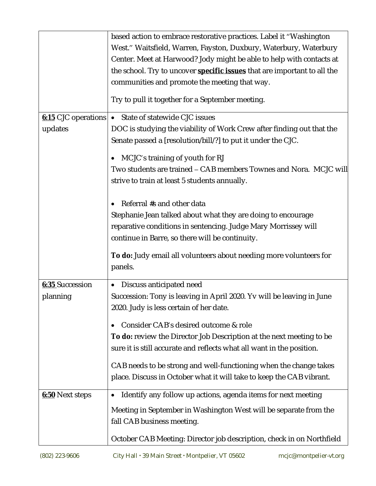|                        | based action to embrace restorative practices. Label it "Washington<br>West." Waitsfield, Warren, Fayston, Duxbury, Waterbury, Waterbury |
|------------------------|------------------------------------------------------------------------------------------------------------------------------------------|
|                        | Center. Meet at Harwood? Jody might be able to help with contacts at                                                                     |
|                        | the school. Try to uncover <b>specific issues</b> that are important to all the                                                          |
|                        | communities and promote the meeting that way.                                                                                            |
|                        | Try to pull it together for a September meeting.                                                                                         |
|                        | 6:15 CJC operations • State of statewide CJC issues                                                                                      |
| updates                | DOC is studying the viability of Work Crew after finding out that the                                                                    |
|                        | Senate passed a [resolution/bill/?] to put it under the CJC.                                                                             |
|                        | MCJC's training of youth for RJ                                                                                                          |
|                        | Two students are trained - CAB members Townes and Nora. MCJC will                                                                        |
|                        | strive to train at least 5 students annually.                                                                                            |
|                        |                                                                                                                                          |
|                        | Referral #s and other data                                                                                                               |
|                        | Stephanie Jean talked about what they are doing to encourage                                                                             |
|                        | reparative conditions in sentencing. Judge Mary Morrissey will                                                                           |
|                        | continue in Barre, so there will be continuity.                                                                                          |
|                        | To do: Judy email all volunteers about needing more volunteers for                                                                       |
|                        | panels.                                                                                                                                  |
| <b>6:35</b> Succession | Discuss anticipated need<br>$\bullet$                                                                                                    |
| planning               | Succession: Tony is leaving in April 2020. Yv will be leaving in June                                                                    |
|                        | 2020. Judy is less certain of her date.                                                                                                  |
|                        | Consider CAB's desired outcome & role                                                                                                    |
|                        | To do: review the Director Job Description at the next meeting to be                                                                     |
|                        | sure it is still accurate and reflects what all want in the position.                                                                    |
|                        | CAB needs to be strong and well-functioning when the change takes                                                                        |
|                        | place. Discuss in October what it will take to keep the CAB vibrant.                                                                     |
|                        |                                                                                                                                          |
| <b>6:50</b> Next steps | Identify any follow up actions, agenda items for next meeting                                                                            |
|                        | Meeting in September in Washington West will be separate from the                                                                        |
|                        | fall CAB business meeting.                                                                                                               |
|                        | October CAB Meeting: Director job description, check in on Northfield                                                                    |